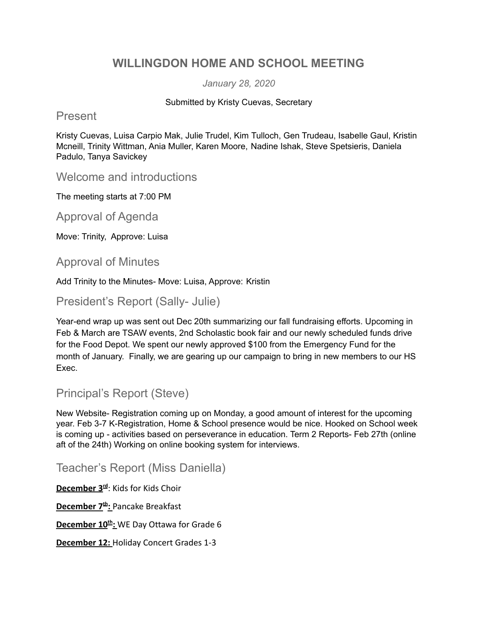# **WILLINGDON HOME AND SCHOOL MEETING**

*January 28, 2020*

#### Submitted by Kristy Cuevas, Secretary

#### Present

Kristy Cuevas, Luisa Carpio Mak, Julie Trudel, Kim Tulloch, Gen Trudeau, Isabelle Gaul, Kristin Mcneill, Trinity Wittman, Ania Muller, Karen Moore, Nadine Ishak, Steve Spetsieris, Daniela Padulo, Tanya Savickey

Welcome and introductions

The meeting starts at 7:00 PM

Approval of Agenda

Move: Trinity, Approve: Luisa

#### Approval of Minutes

Add Trinity to the Minutes- Move: Luisa, Approve: Kristin

#### President's Report (Sally- Julie)

Year-end wrap up was sent out Dec 20th summarizing our fall fundraising efforts. Upcoming in Feb & March are TSAW events, 2nd Scholastic book fair and our newly scheduled funds drive for the Food Depot. We spent our newly approved \$100 from the Emergency Fund for the month of January. Finally, we are gearing up our campaign to bring in new members to our HS Exec.

### Principal's Report (Steve)

New Website- Registration coming up on Monday, a good amount of interest for the upcoming year. Feb 3-7 K-Registration, Home & School presence would be nice. Hooked on School week is coming up - activities based on perseverance in education. Term 2 Reports- Feb 27th (online aft of the 24th) Working on online booking system for interviews.

Teacher's Report (Miss Daniella)

**December 3rd** : Kids for Kids Choir **December 7th :** Pancake Breakfast **December 10th :** WE Day Ottawa for Grade 6 **December 12:** Holiday Concert Grades 1-3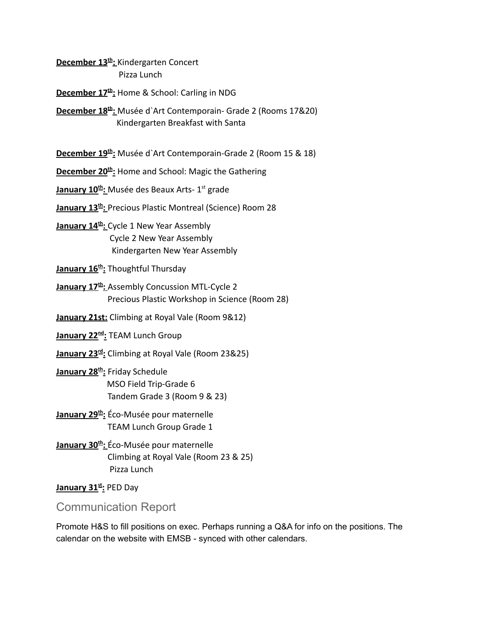**December 13th :** Kindergarten Concert Pizza Lunch

**December 17th :** Home & School: Carling in NDG

**December 18th :** Musée d`Art Contemporain- Grade 2 (Rooms 17&20) Kindergarten Breakfast with Santa

**December 19th :** Musée d`Art Contemporain-Grade 2 (Room 15 & 18)

**December 20th :** Home and School: Magic the Gathering

**January 10th :** Musée des Beaux Arts- 1st grade

**January 13th :** Precious Plastic Montreal (Science) Room 28

**January 14th :** Cycle 1 New Year Assembly Cycle 2 New Year Assembly Kindergarten New Year Assembly

**January 16th :** Thoughtful Thursday

**January 17th :** Assembly Concussion MTL-Cycle 2 Precious Plastic Workshop in Science (Room 28)

**January 21st:** Climbing at Royal Vale (Room 9&12)

**January 22nd :** TEAM Lunch Group

**January 23rd :** Climbing at Royal Vale (Room 23&25)

**January 28th :** Friday Schedule MSO Field Trip-Grade 6 Tandem Grade 3 (Room 9 & 23)

**January 29th :** Éco-Musée pour maternelle TEAM Lunch Group Grade 1

**January 30th :** Éco-Musée pour maternelle Climbing at Royal Vale (Room 23 & 25) Pizza Lunch

**January 31st :** PED Day

Communication Report

Promote H&S to fill positions on exec. Perhaps running a Q&A for info on the positions. The calendar on the website with EMSB - synced with other calendars.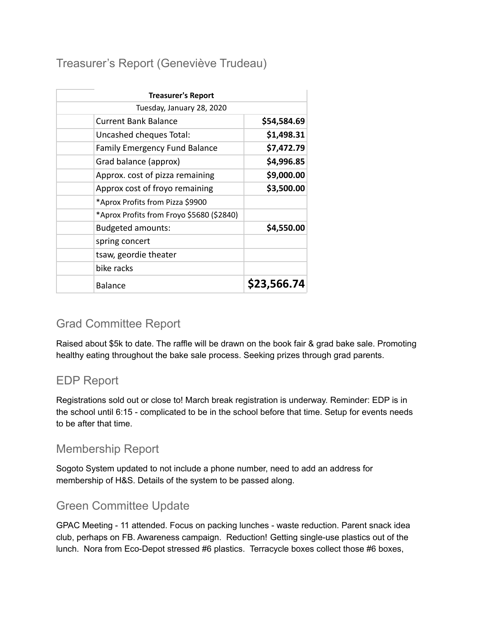Treasurer's Report (Geneviève Trudeau)

| <b>Treasurer's Report</b>                 |             |
|-------------------------------------------|-------------|
| Tuesday, January 28, 2020                 |             |
| Current Bank Balance                      | \$54,584.69 |
| Uncashed cheques Total:                   | \$1,498.31  |
| <b>Family Emergency Fund Balance</b>      | \$7,472.79  |
| Grad balance (approx)                     | \$4,996.85  |
| Approx. cost of pizza remaining           | \$9,000.00  |
| Approx cost of froyo remaining            | \$3,500.00  |
| *Aprox Profits from Pizza \$9900          |             |
| *Aprox Profits from Froyo \$5680 (\$2840) |             |
| <b>Budgeted amounts:</b>                  | \$4,550.00  |
| spring concert                            |             |
| tsaw, geordie theater                     |             |
| bike racks                                |             |
| <b>Balance</b>                            | \$23,566.74 |

# Grad Committee Report

Raised about \$5k to date. The raffle will be drawn on the book fair & grad bake sale. Promoting healthy eating throughout the bake sale process. Seeking prizes through grad parents.

# EDP Report

Registrations sold out or close to! March break registration is underway. Reminder: EDP is in the school until 6:15 - complicated to be in the school before that time. Setup for events needs to be after that time.

### Membership Report

Sogoto System updated to not include a phone number, need to add an address for membership of H&S. Details of the system to be passed along.

# Green Committee Update

GPAC Meeting - 11 attended. Focus on packing lunches - waste reduction. Parent snack idea club, perhaps on FB. Awareness campaign. Reduction! Getting single-use plastics out of the lunch. Nora from Eco-Depot stressed #6 plastics. Terracycle boxes collect those #6 boxes,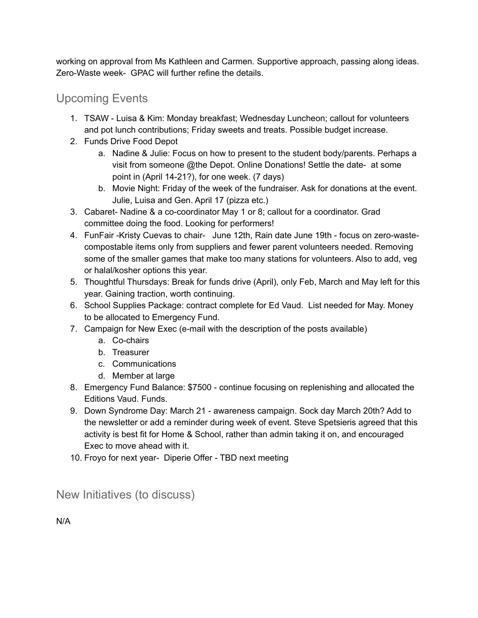working on approval from Ms Kathleen and Carmen. Supportive approach, passing along ideas. Zero-Waste week- GPAC will further refine the details.

Upcoming Events

- 1. TSAW Luisa & Kim: Monday breakfast; Wednesday Luncheon; callout for volunteers and pot lunch contributions; Friday sweets and treats. Possible budget increase.
- 2. Funds Drive Food Depot
	- a. Nadine & Julie: Focus on how to present to the student body/parents. Perhaps a visit from someone @the Depot. Online Donations! Settle the date- at some point in (April 14-21?), for one week. (7 days)
	- b. Movie Night: Friday of the week of the fundraiser. Ask for donations at the event. Julie, Luisa and Gen. April 17 (pizza etc.)
- 3. Cabaret- Nadine & a co-coordinator May 1 or 8; callout for a coordinator. Grad committee doing the food. Looking for performers!
- 4. FunFair -Kristy Cuevas to chair- June 12th, Rain date June 19th focus on zero-wastecompostable items only from suppliers and fewer parent volunteers needed. Removing some of the smaller games that make too many stations for volunteers. Also to add, veg or halal/kosher options this year.
- 5. Thoughtful Thursdays: Break for funds drive (April), only Feb, March and May left for this year. Gaining traction, worth continuing.
- 6. School Supplies Package: contract complete for Ed Vaud. List needed for May. Money to be allocated to Emergency Fund.
- 7. Campaign for New Exec (e-mail with the description of the posts available)
	- a. Co-chairs
	- b. Treasurer
	- c. Communications
	- d. Member at large
- 8. Emergency Fund Balance: \$7500 continue focusing on replenishing and allocated the Editions Vaud. Funds.
- 9. Down Syndrome Day: March 21 awareness campaign. Sock day March 20th? Add to the newsletter or add a reminder during week of event. Steve Spetsieris agreed that this activity is best fit for Home & School, rather than admin taking it on, and encouraged Exec to move ahead with it.
- 10. Froyo for next year- Diperie Offer TBD next meeting

New Initiatives (to discuss)

N/A